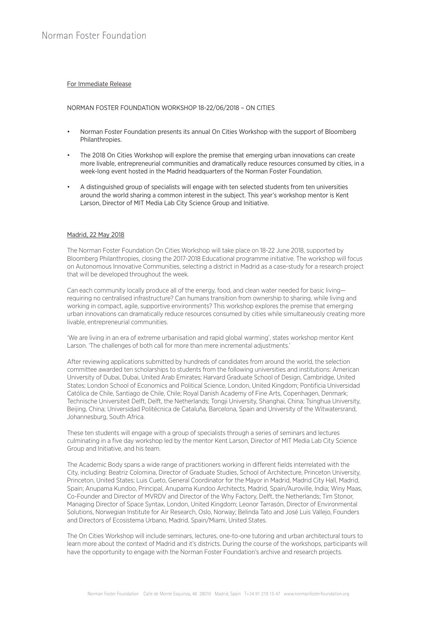## For Immediate Release

## NORMAN FOSTER FOUNDATION WORKSHOP 18-22/06/2018 – ON CITIES

- Norman Foster Foundation presents its annual On Cities Workshop with the support of Bloomberg Philanthropies.
- The 2018 On Cities Workshop will explore the premise that emerging urban innovations can create more livable, entrepreneurial communities and dramatically reduce resources consumed by cities, in a week-long event hosted in the Madrid headquarters of the Norman Foster Foundation.
- A distinguished group of specialists will engage with ten selected students from ten universities around the world sharing a common interest in the subject. This year's workshop mentor is Kent Larson, Director of MIT Media Lab City Science Group and Initiative.

## Madrid, 22 May 2018

The Norman Foster Foundation On Cities Workshop will take place on 18-22 June 2018, supported by Bloomberg Philanthropies, closing the 2017-2018 Educational programme initiative. The workshop will focus on Autonomous Innovative Communities, selecting a district in Madrid as a case-study for a research project that will be developed throughout the week.

Can each community locally produce all of the energy, food, and clean water needed for basic living requiring no centralised infrastructure? Can humans transition from ownership to sharing, while living and working in compact, agile, supportive environments? This workshop explores the premise that emerging urban innovations can dramatically reduce resources consumed by cities while simultaneously creating more livable, entrepreneurial communities.

'We are living in an era of extreme urbanisation and rapid global warming', states workshop mentor Kent Larson. 'The challenges of both call for more than mere incremental adjustments.'

After reviewing applications submitted by hundreds of candidates from around the world, the selection committee awarded ten scholarships to students from the following universities and institutions: American University of Dubai, Dubai, United Arab Emirates; Harvard Graduate School of Design, Cambridge, United States; London School of Economics and Political Science, London, United Kingdom; Pontificia Universidad Católica de Chile, Santiago de Chile, Chile; Royal Danish Academy of Fine Arts, Copenhagen, Denmark; Technische Universiteit Delft, Delft, the Netherlands; Tongji University, Shanghai, China; Tsinghua University, Beijing, China; Universidad Politécnica de Cataluña, Barcelona, Spain and University of the Witwatersrand, Johannesburg, South Africa.

These ten students will engage with a group of specialists through a series of seminars and lectures culminating in a five day workshop led by the mentor Kent Larson, Director of MIT Media Lab City Science Group and Initiative, and his team.

The Academic Body spans a wide range of practitioners working in different fields interrelated with the City, including: Beatriz Colomina, Director of Graduate Studies, School of Architecture, Princeton University, Princeton, United States; Luis Cueto, General Coordinator for the Mayor in Madrid, Madrid City Hall, Madrid, Spain; Anupama Kundoo, Principal, Anupama Kundoo Architects, Madrid, Spain/Auroville, India; Winy Maas, Co-Founder and Director of MVRDV and Director of the Why Factory, Delft, the Netherlands; Tim Stonor, Managing Director of Space Syntax, London, United Kingdom; Leonor Tarrasón, Director of Environmental Solutions, Norwegian Institute for Air Research, Oslo, Norway; Belinda Tato and José Luis Vallejo, Founders and Directors of Ecosistema Urbano, Madrid, Spain/Miami, United States.

The On Cities Workshop will include seminars, lectures, one-to-one tutoring and urban architectural tours to learn more about the context of Madrid and it's districts. During the course of the workshops, participants will have the opportunity to engage with the Norman Foster Foundation's archive and research projects.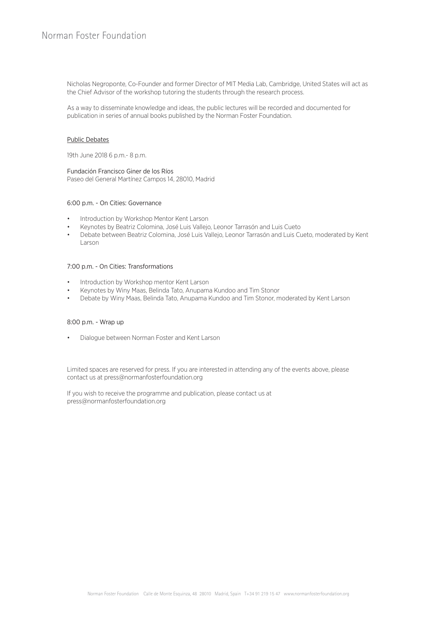Nicholas Negroponte, Co-Founder and former Director of MIT Media Lab, Cambridge, United States will act as the Chief Advisor of the workshop tutoring the students through the research process.

As a way to disseminate knowledge and ideas, the public lectures will be recorded and documented for publication in series of annual books published by the Norman Foster Foundation.

## Public Debates

19th June 2018 6 p.m.- 8 p.m.

Fundación Francisco Giner de los Ríos Paseo del General Martínez Campos 14, 28010, Madrid

## 6:00 p.m. - On Cities: Governance

- Introduction by Workshop Mentor Kent Larson
- Keynotes by Beatriz Colomina, José Luis Vallejo, Leonor Tarrasón and Luis Cueto
- Debate between Beatriz Colomina, José Luis Vallejo, Leonor Tarrasón and Luis Cueto, moderated by Kent Larson

# 7:00 p.m. - On Cities: Transformations

- Introduction by Workshop mentor Kent Larson
- Keynotes by Winy Maas, Belinda Tato, Anupama Kundoo and Tim Stonor
- Debate by Winy Maas, Belinda Tato, Anupama Kundoo and Tim Stonor, moderated by Kent Larson

#### 8:00 p.m. - Wrap up

• Dialogue between Norman Foster and Kent Larson

Limited spaces are reserved for press. If you are interested in attending any of the events above, please contact us at press@normanfosterfoundation.org

If you wish to receive the programme and publication, please contact us at press@normanfosterfoundation.org